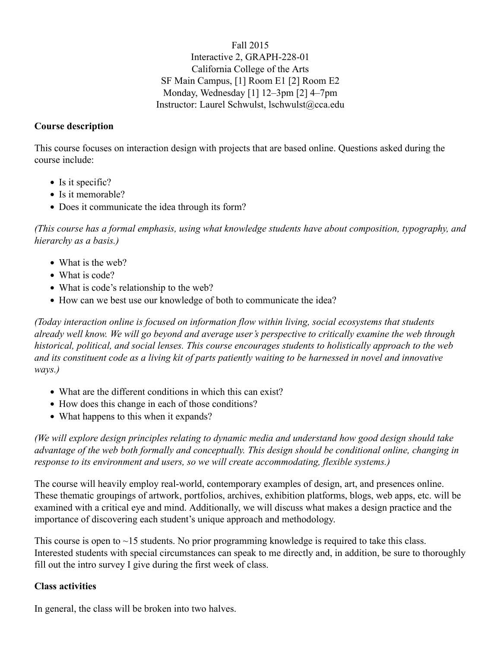Fall 2015 Interactive 2, GRAPH-228-01 California College of the Arts SF Main Campus, [1] Room E1 [2] Room E2 Monday, Wednesday [1] 12–3pm [2] 4–7pm Instructor: Laurel Schwulst, lschwulst@cca.edu

### **Course description**

This course focuses on interaction design with projects that are based online. Questions asked during the course include:

- Is it specific?
- Is it memorable?
- Does it communicate the idea through its form?

*(This course has a formal emphasis, using what knowledge students have about composition, typography, and hierarchy as a basis.)*

- What is the web?
- What is code?
- What is code's relationship to the web?
- How can we best use our knowledge of both to communicate the idea?

*(Today interaction online is focused on information flow within living, social ecosystems that students already well know. We will go beyond and average user's perspective to critically examine the web through historical, political, and social lenses. This course encourages students to holistically approach to the web and its constituent code as a living kit of parts patiently waiting to be harnessed in novel and innovative ways.)*

- What are the different conditions in which this can exist?
- How does this change in each of those conditions?
- What happens to this when it expands?

*(We will explore design principles relating to dynamic media and understand how good design should take advantage of the web both formally and conceptually. This design should be conditional online, changing in response to its environment and users, so we will create accommodating, flexible systems.)*

The course will heavily employ real-world, contemporary examples of design, art, and presences online. These thematic groupings of artwork, portfolios, archives, exhibition platforms, blogs, web apps, etc. will be examined with a critical eye and mind. Additionally, we will discuss what makes a design practice and the importance of discovering each student's unique approach and methodology.

This course is open to  $\sim$ 15 students. No prior programming knowledge is required to take this class. Interested students with special circumstances can speak to me directly and, in addition, be sure to thoroughly fill out the intro survey I give during the first week of class.

### **Class activities**

In general, the class will be broken into two halves.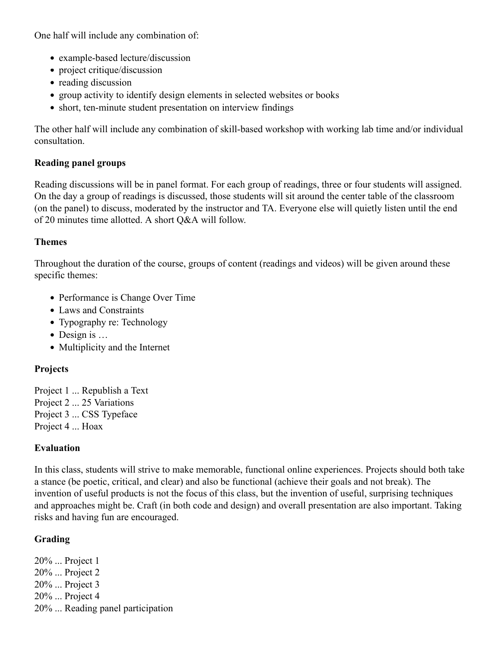One half will include any combination of:

- example-based lecture/discussion
- project critique/discussion
- reading discussion
- group activity to identify design elements in selected websites or books
- short, ten-minute student presentation on interview findings

The other half will include any combination of skill-based workshop with working lab time and/or individual consultation.

# **Reading panel groups**

Reading discussions will be in panel format. For each group of readings, three or four students will assigned. On the day a group of readings is discussed, those students will sit around the center table of the classroom (on the panel) to discuss, moderated by the instructor and TA. Everyone else will quietly listen until the end of 20 minutes time allotted. A short Q&A will follow.

## **Themes**

Throughout the duration of the course, groups of content (readings and videos) will be given around these specific themes:

- Performance is Change Over Time
- Laws and Constraints
- Typography re: Technology
- $\bullet$  Design is  $\dots$
- Multiplicity and the Internet

# **Projects**

- Project 1 ... Republish a Text
- Project 2 ... 25 Variations
- Project 3 ... CSS Typeface
- Project 4 ... Hoax

# **Evaluation**

In this class, students will strive to make memorable, functional online experiences. Projects should both take a stance (be poetic, critical, and clear) and also be functional (achieve their goals and not break). The invention of useful products is not the focus of this class, but the invention of useful, surprising techniques and approaches might be. Craft (in both code and design) and overall presentation are also important. Taking risks and having fun are encouraged.

# **Grading**

20% ... Project 1 20% ... Project 2 20% ... Project 3 20% ... Project 4 20% ... Reading panel participation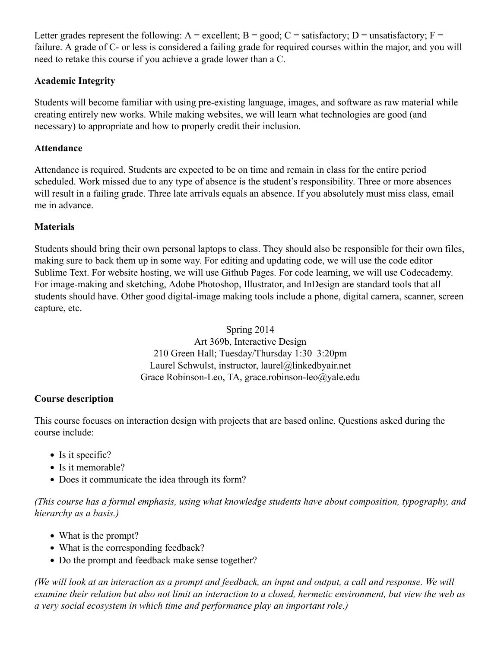Letter grades represent the following:  $A =$  excellent;  $B =$  good;  $C =$  satisfactory;  $D =$  unsatisfactory;  $F =$ failure. A grade of C- or less is considered a failing grade for required courses within the major, and you will need to retake this course if you achieve a grade lower than a C.

# **Academic Integrity**

Students will become familiar with using pre-existing language, images, and software as raw material while creating entirely new works. While making websites, we will learn what technologies are good (and necessary) to appropriate and how to properly credit their inclusion.

## **Attendance**

Attendance is required. Students are expected to be on time and remain in class for the entire period scheduled. Work missed due to any type of absence is the student's responsibility. Three or more absences will result in a failing grade. Three late arrivals equals an absence. If you absolutely must miss class, email me in advance.

# **Materials**

Students should bring their own personal laptops to class. They should also be responsible for their own files, making sure to back them up in some way. For editing and updating code, we will use the code editor Sublime Text. For website hosting, we will use Github Pages. For code learning, we will use Codecademy. For image-making and sketching, Adobe Photoshop, Illustrator, and InDesign are standard tools that all students should have. Other good digital-image making tools include a phone, digital camera, scanner, screen capture, etc.

> Spring 2014 Art 369b, Interactive Design 210 Green Hall; Tuesday/Thursday 1:30–3:20pm Laurel Schwulst, instructor, laurel@linkedbyair.net Grace Robinson-Leo, TA, grace.robinson-leo@yale.edu

# **Course description**

This course focuses on interaction design with projects that are based online. Questions asked during the course include:

- Is it specific?
- Is it memorable?
- Does it communicate the idea through its form?

*(This course has a formal emphasis, using what knowledge students have about composition, typography, and hierarchy as a basis.)*

- What is the prompt?
- What is the corresponding feedback?
- Do the prompt and feedback make sense together?

*(We will look at an interaction as a prompt and feedback, an input and output, a call and response. We will examine their relation but also not limit an interaction to a closed, hermetic environment, but view the web as a very social ecosystem in which time and performance play an important role.)*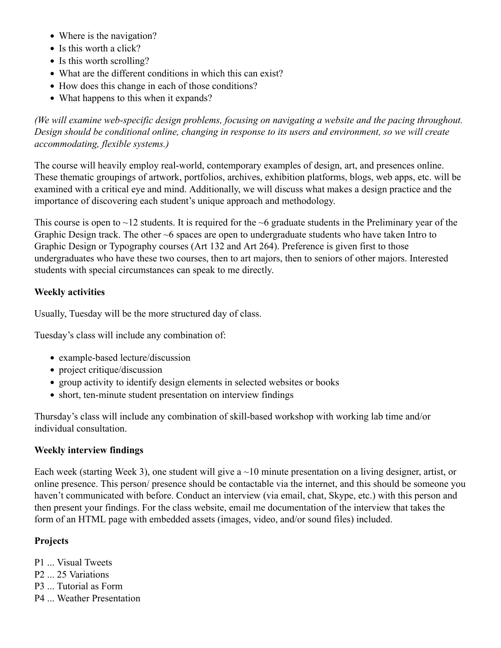- Where is the navigation?
- Is this worth a click?
- Is this worth scrolling?
- What are the different conditions in which this can exist?
- How does this change in each of those conditions?
- What happens to this when it expands?

*(We will examine web-specific design problems, focusing on navigating a website and the pacing throughout. Design should be conditional online, changing in response to its users and environment, so we will create accommodating, flexible systems.)*

The course will heavily employ real-world, contemporary examples of design, art, and presences online. These thematic groupings of artwork, portfolios, archives, exhibition platforms, blogs, web apps, etc. will be examined with a critical eye and mind. Additionally, we will discuss what makes a design practice and the importance of discovering each student's unique approach and methodology.

This course is open to  $\sim$ 12 students. It is required for the  $\sim$ 6 graduate students in the Preliminary year of the Graphic Design track. The other ~6 spaces are open to undergraduate students who have taken Intro to Graphic Design or Typography courses (Art 132 and Art 264). Preference is given first to those undergraduates who have these two courses, then to art majors, then to seniors of other majors. Interested students with special circumstances can speak to me directly.

## **Weekly activities**

Usually, Tuesday will be the more structured day of class.

Tuesday's class will include any combination of:

- example-based lecture/discussion
- project critique/discussion
- group activity to identify design elements in selected websites or books
- short, ten-minute student presentation on interview findings

Thursday's class will include any combination of skill-based workshop with working lab time and/or individual consultation.

### **Weekly interview findings**

Each week (starting Week 3), one student will give  $a \sim 10$  minute presentation on a living designer, artist, or online presence. This person/ presence should be contactable via the internet, and this should be someone you haven't communicated with before. Conduct an interview (via email, chat, Skype, etc.) with this person and then present your findings. For the class website, email me documentation of the interview that takes the form of an HTML page with embedded assets (images, video, and/or sound files) included.

## **Projects**

- P1 ... Visual Tweets
- P2 ... 25 Variations
- P3 ... Tutorial as Form
- P4 ... Weather Presentation